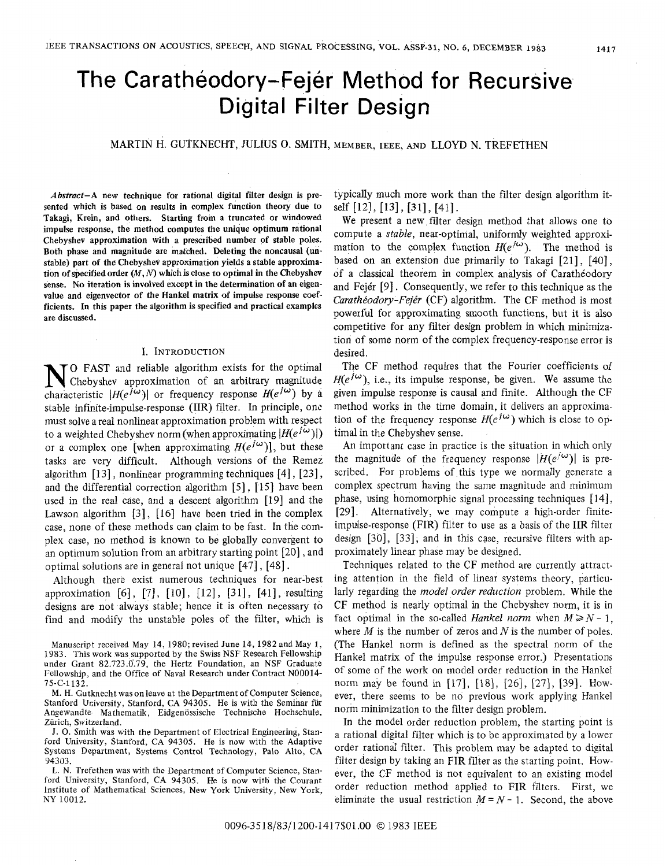# The Caratheodory-Fejer Method for Recursive Digital Filter Design

## MARTIN H. GUTKNECHT, JULIUS *0.* SMITH, MEMBER, IEEE, AND LLOYD N. TREFETHEN

*Abstract-A* new technique for rational digital filter design **is** presented which **is** based on results in complex function theory due to Takagi, Krein, and others. Starting from a truncated or windowed impulse response, the method computes the unique optimum rational Chebyshev approximation with a prescribed number of stable poles. Both phase and magnitude are matched. Deleting the noncausal (unstable) part of the Chebyshev approximation yields a stable approximation of specified order  $(M, N)$  which is close to optimal in the Chebyshev sense. **No** iteration is involved except in the determination of an eigenvalue and eigenvector of the Hankel matrix of impulse response coefficients. In this paper the algorithm is specified and practical examples are discussed.

#### **I.** INTRODUCTION

**N**O FAST and reliable algorithm exists for the optimal Chebyshev approximation of an arbitrary magnitude characteristic  $|H(e^{j\omega})|$  or frequency response  $H(e^{j\omega})$  by a TO FAST and reliable algorithm exists for the optimal Chebyshev approximation of an arbitrary magnitude stable infinite-impulse-response (IIR) filter. In principle, one must solve a real nonlinear approximation problem with respect to a weighted Chebyshev norm (when approximating  $|H(e^{j\omega})|$ ) or a complex one [when approximating  $H(e^{j\omega})$ ], but these tasks are very difficult. Although versions of the Remez algorithm  $[13]$ , nonlinear programming techniques  $[4]$ ,  $[23]$ , and the differential correction algorithm  $[5]$ ,  $[15]$  have been used in the real case, and a descent algorithm [19] and the Lawson algorithm [3], [16] have been tried in the complex case, none of these methods can claim to be fast. In the complex case, no method is known to be globally convergent to an optimum solution from an arbitrary starting point *[20]* , and optimal solutions are in general not unique [47], [48].

Although there exist numerous techniques for near-best approximation  $[6]$ ,  $[7]$ ,  $[10]$ ,  $[12]$ ,  $[31]$ ,  $[41]$ , resulting designs are not always stable; hence it is often necessary to find and modify the unstable poles of the filter, which is typically much more work than the filter design algorithm itself [12], [13], 1311, [41].

We present a new filter design method that allows one to compute a *stable,* near-optimal, uniformly weighted approximation to the complex function  $H(e^{j\omega})$ . The method is based on an extension due primariiy to Takagi [21], [40], of a classical theorem in complex analysis of Carathéodory and Fejér  $[9]$ . Consequently, we refer to this technique as the *Carathéodory-Fejér* (CF) algorithm. The CF method is most powerful for approximating smooth functions, but it is also competitive for any filter design problem in which minimization of some norm of the complex frequency-response error is desired.

The CF method requires that the Fourier coefficients of  $H(e^{j\omega})$ , i.e., its impulse response, be given. We assume the given impulse response is causal and finite. Although the CF method works in the time domain, it delivers an approximation of the frequency response  $H(e^{j\omega})$  which is close to optimal in the Chebyshev sense.

An important case in practice is the situation in which only the magnitude of the frequency response  $|H(e^{j\omega})|$  is prescribed, For problems of this type we normally generate a complex spectrum having the same magnitude and minimum phase, using homomorphic signal processing techniques [ 141, [29]. Alternatively, we may compute a high-order finiteimpulse-response (FIR) filter to use as a basis of the IIR filter design *[30],* [33], and in this case, recursive filters with approximately linear phase may be designed.

Techniques related to the CF method are currently attracting attention in the field of linear systems theory, particularly regarding the *model order reduction* problem. While the CF method is nearly optimal in the Chebyshev norm, it is in fact optimal in the so-called *Hankel norm* when  $M \ge N - 1$ , where *M* is the number of zeros and *N* is the number of poles. (The Hankel norm is defined as the spectral norm of the Hankel matrix of the impulse response error.) Presentations of some of the work on model order reduction in the Hankel norm may be found in [17], [18], *[26],* [27], [39]. However, there seems to be no previous work applying Hankel norm minimization to the filter design problem.

In the model order reduction problem, the starting point is a rational digital filter which is to be approximated by a lower order rational filter. This problem may be adapted to digital filter design by taking an FIR filter as the starting point. However, the CF method is not equivalent to an existing model order eduction method applied to FIR filters. First, we eliminate the usual restriction  $M = N - 1$ . Second, the above

Manuscript received May 14, 1980; revised June 14, 1982 and May **1,**  1983. This work was supported by the Swiss NSF Research Fellowship under Grant 82.723.0.79, the Hertz Foundation, an NSF Graduate Fellowship, and the Office of Naval Research under Contract N00014- 75-C-1132.

M. H. Gutknecht was on leave at the Department of Computer Science, Stanford University, Stanford, CA 94305. He is with the Seminar für Angewandte Mathematik, Eidgenössische Technische Hochschule, Zürich, Switzerland.

J. 0. Smith was with the Department of Electrical Engineering, Stanford University, Stanford, CA 94305. He is now with the Adaptive Systems Department, Systems Control Technology, Palo Alto, CA 94303.

**L. N.** Trefethen was with the Department of Computer Science, Stanford University, Stanford, CA 94305. He **is** now with the Courant Institute of Mathematical Sciences, New York University, New York, NY 10012.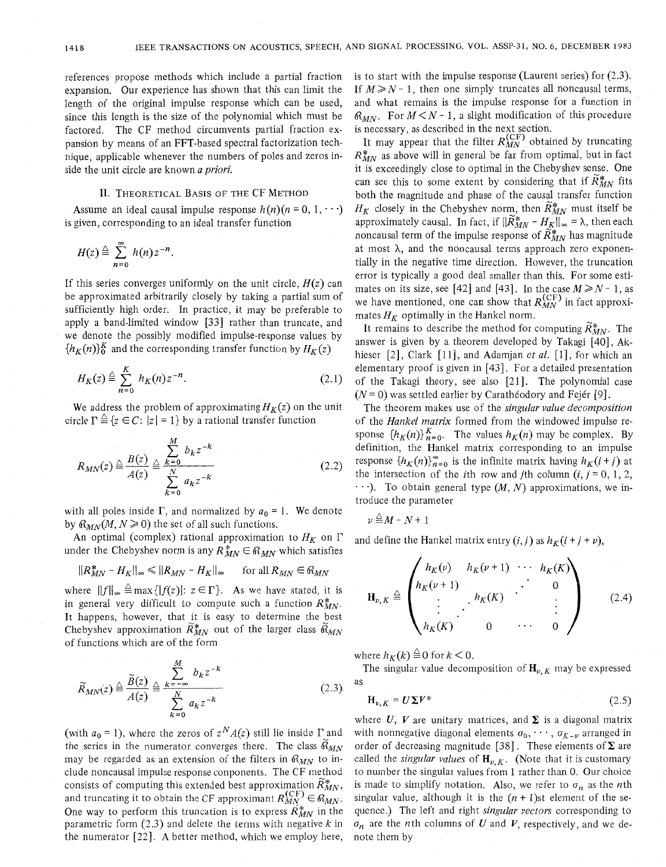references propose methods which include a partial fraction expansion. Our experience has shown that this can limit the length of the original impulse response which can be used, since this length is the size of the polynomial which must be factored. The CF method circumvents partial fraction expansion by means of an FFT-based spectral factorization technique, applicable whenever the numbers of poles and zeros inside the unit circle are known *a priori.* 

#### 11. THEORETICAL BASIS OF THE CF METHOD

Assume an ideal causal impulse response  $h(n)(n = 0, 1, \cdots)$ is given, corresponding to an ideal transfer function

$$
H(z) \stackrel{\triangle}{=} \sum_{n=0}^{\infty} h(n) z^{-n}.
$$

If this series converges uniformly on the unit circle,  $H(z)$  can be approximated arbitrarily closely by taking a partial sum of sufficiently high order. In practice, it may be preferable to apply a band-limited window [33] rather than truncate, and we denote the possibly modified impulse-response values by  $\{h_K(n)\}_{0}^K$  and the corresponding transfer function by  $H_K(z)$ 

$$
H_K(z) \stackrel{\triangle}{=} \sum_{n=0}^K h_K(n) z^{-n}.
$$
 (2.1)

We address the problem of approximating  $H_K(z)$  on the unit circle  $\Gamma \triangleq \{z \in \mathbb{C} : |z| = 1\}$  by a rational transfer function

$$
R_{MN}(z) \stackrel{\triangle}{=} \frac{B(z)}{A(z)} \stackrel{\triangle}{=} \frac{\sum_{k=0}^{M} b_k z^{-k}}{\sum_{k=0}^{N} a_k z^{-k}}
$$
(2.2)

with all poles inside  $\Gamma$ , and normalized by  $a_0 = 1$ . We denote by  $R_{MN}(M, N \ge 0)$  the set of all such functions.

An optimal (complex) rational approximation to  $H_K$  on  $\Gamma$ under the Chebyshev norm is any  $R_{MN}^* \in \mathbb{R}_{MN}$  which satisfies

$$
|R_{MN}^* - H_K||_{\infty} \le ||R_{MN} - H_K||_{\infty} \quad \text{for all } R_{MN} \in R_{MN}
$$

where  $||f||_{\infty} \triangleq \max\{|f(z)|: z \in \Gamma\}$ . As we have stated, it is in general very difficult to compute such a function  $R_{MN}^*$ . It happens, however, that it is easy to determine the best Chebyshev approximation  $\widetilde{R}_{MN}^*$  out of the larger class  $\widetilde{\alpha}_{MN}$ of functions which are of the form

$$
\widetilde{R}_{MN}(z) \stackrel{\triangle}{=} \frac{\widetilde{B}(z)}{A(z)} \stackrel{\triangle}{=} \frac{\sum_{k=-\infty}^{M} b_k z^{-k}}{\sum_{k=0}^{N} a_k z^{-k}}
$$
\n(2.3)

(with  $a_0 = 1$ ), where the zeros of  $z^N A(z)$  still lie inside  $\Gamma$  and the series in the numerator converges there. The class  $\tilde{R}_{MN}$ may be regarded as an extension of the filters in  $R_{MN}$  to include noncausal impulse response conponents. The CF method consists of computing this extended best approximation  $\tilde{R}_{MN}^*$ , and truncating it to obtain the CF approximant  $R_{MN}^{(\text{CF})} \in \mathcal{R}_{MN}$ . One way to perform this truncation is to express  $\tilde{R}_{MN}^*$  in the parametric form (2.3) and delete the terms with negative *k* in the numerator [22]. A better method, which we employ here, is to start with the impulse response (Laurent series) for (2.3). If  $M \ge N-1$ , then one simply truncates all noncausal terms, and what remains is the impulse response for a function in  $\mathcal{R}_{MN}$ . For  $M \leq N - 1$ , a slight modification of this procedure is necessary, as described in the next section.

It may appear that the filter  $R_{MN}^{(CF)}$  obtained by truncating  $R_{MN}^*$  as above will in general be far from optimal, but in fact it is exceedingly close to optimal in the Chebyshev sense. One can see this to some extent by considering that if  $\tilde{R}_{MN}^*$  fits both the magnitude and phase of the causal transfer function  $H_K$  closely in the Chebyshev norm, then  $\widetilde{R}_{MN}^*$  must itself be approximately causal. In fact, if  $\|\widetilde{R}_{MN}^* - H_K\|_{\infty} = \lambda$ , then each noncausal term of the impulse response of  $\widetilde{R}_{MN}^*$  has magnitude at most *h,* and the noncausal terms approach zero exponentially in the negative time direction. However, the truncation error is typically a good deal smaller than this. For some estimates on its size, see [42] and [43]. In the case  $M \ge N - 1$ , as we have mentioned, one can show that  $R_{MN}^{(CF)}$  in fact approximates  $H_K$  optimally in the Hankel norm.

It remains to describe the method for computing  $\widetilde{R}_{MN}^*$ . The answer is given by a theorem developed by Takagi [40], Akhieser [2], Clark [11], and Adamjan *et al.* [1], for which an elementary proof is given in [43]. For a detailed presentation of the Takagi theory, see also [21]. The polynomial case  $(N = 0)$  was settled earlier by Carathéodory and Fejér [9].

The theorem makes use of the *singular value decomposition*  of the *Hankel matrix* formed from the windowed impulse response  $\{h_K(n)\}_{n=0}^K$ . The values  $h_K(n)$  may be complex. By definition, the Hankel matrix corresponding to an impulse response  ${h_K(n)}_{n=0}^{\infty}$  is the infinite matrix having  $h_K(i+j)$  at the intersection of the *i*th row and *j*th column  $(i, j = 0, 1, 2, ...)$  $\dots$ ). To obtain general type  $(M, N)$  approximations, we introduce the parameter

$$
\nu \stackrel{\triangle}{=} M - N + 1
$$

and define the Hankel matrix entry  $(i, j)$  as  $h_K(i + j + \nu)$ ,

$$
\mathbf{H}_{\nu,K} \triangleq \begin{pmatrix} h_K(\nu) & h_K(\nu+1) & \cdots & h_K(K) \\ h_K(\nu+1) & & & 0 \\ \vdots & & h_K(K) & & \vdots \\ h_K(K) & & 0 & \cdots & 0 \end{pmatrix}
$$
 (2.4)

where  $h_K(k) \stackrel{\triangle}{=} 0$  for  $k < 0$ .

as The singular value decomposition of  $\mathbf{H}_{\nu,K}$  may be expressed

$$
\mathbf{H}_{\nu,K} = U \Sigma V^* \tag{2.5}
$$

where  $U$ ,  $V$  are unitary matrices, and  $\Sigma$  is a diagonal matrix with nonnegative diagonal elements  $\sigma_0, \cdots, \sigma_{K-\nu}$  arranged in order of decreasing magnitude [38]. These elements of  $\Sigma$  are called the *singular values* of  $H_{\nu,K}$ . (Note that it is customary to number the singular values from 1 rather than 0. Our choice is made to simplify notation. Also, we refer to  $\sigma_n$  as the *n*th singular value, although it is the  $(n + 1)$ st element of the sequence.) The left and right *singular vectors* corresponding to  $\sigma_n$  are the *n*th columns of *U* and *V*, respectively, and we denote them by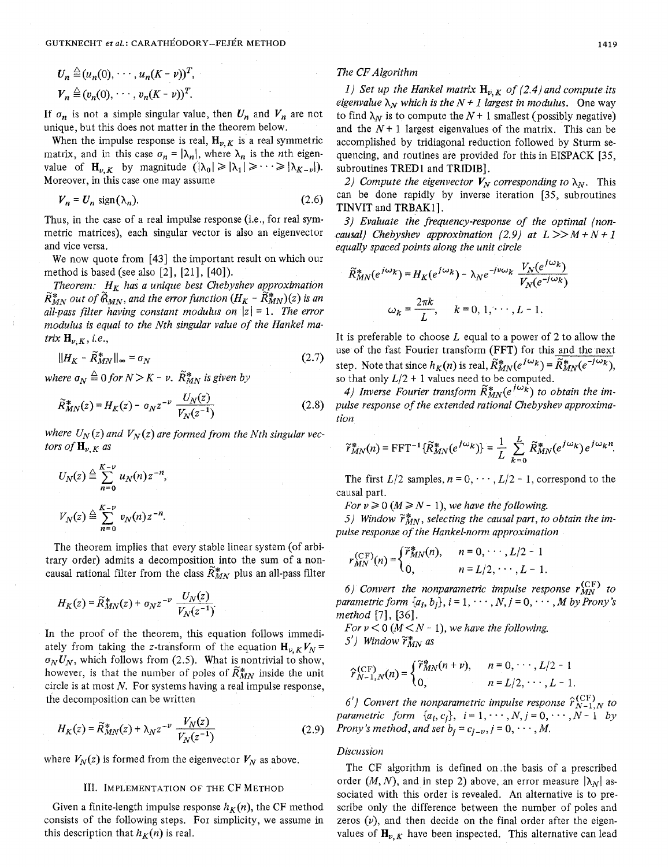GUTKNECHT *et al.*: CARATHÉODORY-FEJÉR METHOD 1419

$$
U_n \stackrel{\triangle}{=} (u_n(0), \cdots, u_n(K-\nu))^T,
$$
  

$$
V_n \stackrel{\triangle}{=} (v_n(0), \cdots, v_n(K-\nu))^T.
$$

If  $\sigma_n$  is not a simple singular value, then  $U_n$  and  $V_n$  are not unique, but this does not matter in the theorem below.

When the impulse response is real,  $H_{\nu,K}$  is a real symmetric matrix, and in this case  $\sigma_n = |\lambda_n|$ , where  $\lambda_n$  is the *n*th eigenvalue of  $H_{\nu,K}$  by magnitude  $(|\lambda_0| \geq |\lambda_1| \geq \cdots \geq |\lambda_{K-\nu}|)$ . Moreover, in this case one may assume

$$
V_n = U_n \text{ sign}(\lambda_n). \tag{2.6}
$$

Thus, in the case of a real impulse response (i.e., for real symmetric matrices), each singular vector is also an eigenvector and vice versa.

We now quote from [43] the important result on which our method is based (see also *[2], [21],* [40]).

*Theorem:*  $H_K$  has a unique best Chebyshev approximation  $\widetilde{R}_{MN}^*$  *out of*  $\widetilde{R}_{MN}$ *, and the error function*  $(H_K - \widetilde{R}_{MN}^*)(z)$  *is an* all-pass filter having constant modulus on  $|z| = 1$ . The error *modulus is equal to the Nth singular value of the Hankel matrix*  $H_{\nu,K}$ , *i.e.*,

$$
||H_K - \widetilde{R}_{MN}^*||_{\infty} = \sigma_N \tag{2.7}
$$

*where*  $\sigma_N \triangleq 0$  *for*  $N > K - \nu$ .  $\widetilde{R}_{MN}^*$  *is given by* 

$$
\widetilde{R}_{MN}^*(z) = H_K(z) - \sigma_N z^{-\nu} \frac{U_N(z)}{V_N(z^{-1})}
$$
\n(2.8)

where  $U_N(z)$  and  $V_N(z)$  are formed from the Nth singular vec*tors of*  $H_{\nu,K}$  *as* 

$$
U_N(z) \stackrel{\triangle}{=} \sum_{n=0}^{K-\nu} u_N(n) z^{-n},
$$
  

$$
V_N(z) \stackrel{\triangle}{=} \sum_{n=0}^{K-\nu} v_N(n) z^{-n}.
$$

The theorem implies that every stable linear system (of arbitrary order) admits a decomposition into the sum of a noncausal rational filter from the class  $\tilde{R}_{MN}^*$  plus an all-pass filter

$$
H_K(z) = \widetilde{R}_{MN}^*(z) + \sigma_N z^{-\nu} \frac{U_N(z)}{V_N(z^{-1})}.
$$

In the proof of the theorem, this equation follows immediately from taking the z-transform of the equation  $H_{V,K}V_N =$  $\sigma_N U_N$ , which follows from (2.5). What is nontrivial to show, however, is that the number of poles of  $\widetilde{R}_{MN}^*$  inside the unit circle is at most *N.* For systems having a real impulse response, the decomposition can be written

$$
H_K(z) = \widetilde{R}_{MN}^*(z) + \lambda_N z^{-\nu} \frac{V_N(z)}{V_N(z^{-1})}
$$
 (2.9)

where  $V_N(z)$  is formed from the eigenvector  $V_N$  as above.

consists of the following steps. For simplicity, we assume in zeros  $(\nu)$ , and then decide on the final order after the eigen-

### *The CF Algorithm*

*1)* Set up the Hankel matrix  $\mathbf{H}_{\nu,K}$  of (2.4) and compute its *eigenvalue*  $\lambda_N$  *which is the*  $N + 1$  *largest in modulus.* One way to find  $\lambda_N$  is to compute the  $N + 1$  smallest (possibly negative) and the  $N+1$  largest eigenvalues of the matrix. This can be accomplished by tridiagonal reduction followed by Sturm sequencing, and routines are provided for this in EISPACK [35, subroutines TRED1 and TRIDIB1.

*2)* Compute the eigenvector  $V_N$  corresponding to  $\lambda_N$ . This can be done rapidly by inverse iteration [35, subroutines TINVIT and TRBAKl].

*3) Evaluate the frequency-response of the optimal (noncausal)* Chebyshev approximation (2.9) at  $L \gg M + N + 1$ *equally spaced points along the unit circle* 

$$
\widetilde{R}_{MN}^*(e^{j\omega_k}) = H_K(e^{j\omega_k}) - \lambda_N e^{-j\nu\omega_k} \frac{V_N(e^{j\omega_k})}{V_N(e^{-j\omega_k})}
$$

$$
\omega_k = \frac{2\pi k}{L}, \quad k = 0, 1, \dots, L - 1,
$$

It is preferable to choose *L* equal to a power of *2* to allow the use of the fast Fourier transform (FFT) for this and the next step. Note that since  $h_K(n)$  is real,  $\widetilde{R}_{MN}^*(e^{j\omega_k}) = \widetilde{R}_{MN}^*(e^{-j\omega_k})$ , so that only  $L/2$  + 1 values need to be computed.

4) Inverse Fourier transform  $\widetilde{R}_{MN}^*(e^{j\omega_k})$  to obtain the im*pulse response of the extended rational Chebyshev approximation* 

$$
\widetilde{r}_{MN}^*(n) = \text{FFT}^{-1}\{\widetilde{R}_{MN}^*(e^{j\omega_k})\} = \frac{1}{L} \sum_{k=0}^{L} \widetilde{R}_{MN}^*(e^{j\omega_k}) e^{j\omega_k n}.
$$

The first  $L/2$  samples,  $n = 0, \dots, L/2 - 1$ , correspond to the causal part.

*For*  $\nu \geq 0$  ( $M \geq N - 1$ ), we have the following.

5) Window  $\widetilde{r}_{MN}^*$ , selecting the causal part, to obtain the im*pulse response of the Hankel-norm approximation* 

$$
r_{MN}^{(\text{CF})}(n) = \begin{cases} \tilde{r}_{MN}^{*}(n), & n = 0, \cdots, L/2 - 1 \\ 0, & n = L/2, \cdots, L - 1. \end{cases}
$$

6) Convert the nonparametric impulse response  $r_{MN}^{\text{(CF)}}$  to *parametric form*  $\{a_i, b_i\}, i = 1, \dots, N, j = 0, \dots, M$  by Prony's *method* [7], *[36].* 

*For*  $\nu$  < 0 ( $M$  <  $N$  - 1), we have the following. *5'*) *Window*  $\widetilde{r}_{MN}^*$  as

$$
\widehat{r}_{N-1,N}^{(\text{CF})}(n) = \begin{cases} \widetilde{r}_{MN}^*(n+\nu), & n = 0, \cdots, L/2 - 1 \\ 0, & n = L/2, \cdots, L - 1. \end{cases}
$$

*6')* Convert the nonparametric impulse response  $\hat{r}_{N-1,N}^{(\text{CF})}$  to *parametric form*  $\{a_i, c_j\}$ ,  $i = 1, \dots, N, j = 0, \dots, N - 1$  *by Prony's method, and set*  $b_j = c_{j-\nu}, j = 0, \dots, M$ *.* 

The CF algorithm is defined on .the basis of a prescribed 111. IMPLEMENTATION OF THE CF METHOD order  $(M, N)$ , and in step 2) above, an error measure  $|\lambda_N|$  associated with this order is revealed. An alternative is to pre-Given a finite-length impulse response  $h_K(n)$ , the CF method scribe only the difference between the number of poles and this description that  $h_K(n)$  is real. values of  $\mathbf{H}_{\nu,K}$  have been inspected. This alternative can lead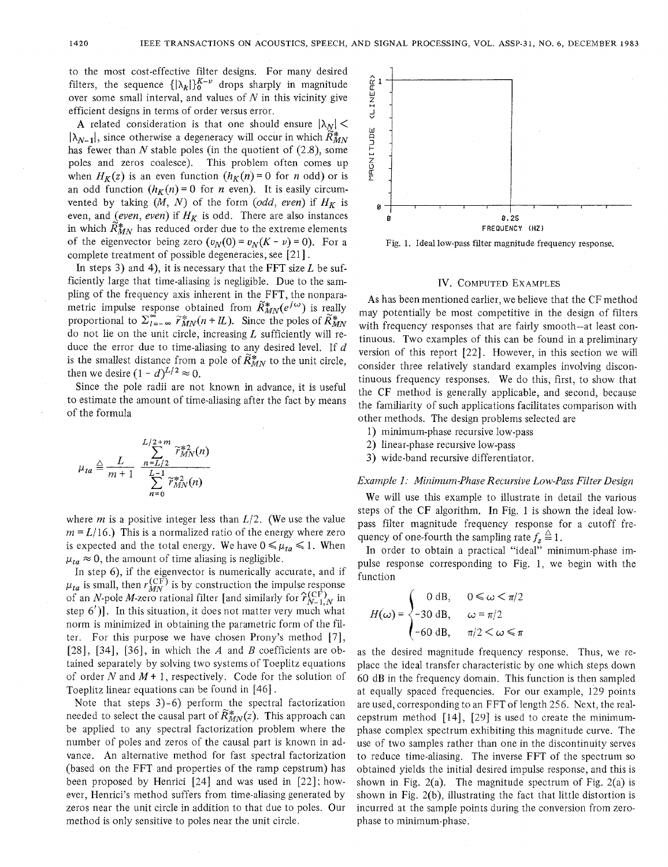to the most cost-effective filter designs. For many desired filters, the sequence  $\{|\lambda_k|\}_0^{K-\nu}$  drops sharply in magnitude over some small interval, and values of *N* in this vicinity give efficient designs in terms of order versus error.

**A** related consideration is that one should ensure  $|\lambda_N|$  $|\lambda_{N-1}|$ , since otherwise a degeneracy will occur in which  $\tilde{R}_{MN}^*$ has fewer than *N* stable poles (in the quotient of (2.8), some poles and zeros coalesce). This problem often comes up when  $H_K(z)$  is an even function  $(h_K(n) = 0$  for *n* odd) or is an odd function  $(h_K(n) = 0$  for *n* even). It is easily circumvented by taking  $(M, N)$  of the form  $(odd, even)$  if  $H_K$  is even, and *(even, even)* if  $H_K$  is odd. There are also instances in which  $\tilde{R}_{MN}^*$  has reduced order due to the extreme elements of the eigenvector being zero  $(v_N(0) = v_N(K - \nu) = 0)$ . For a complete treatment of possible degeneracies, see [21].

In steps 3) and 4), it is necessary that the FFT size  $L$  be sufficiently large that time-aliasing is negligible. Due to the sampling of the frequency axis inherent in the FFT, the nonparametric impulse response obtained from  $\widetilde{R}_{MN}^*(e^{j\omega})$  is really proportional to  $\Sigma_{l=-\infty}^{\infty} \widetilde{r}_{MN}^{*}(n+L)$ . Since the poles of  $\widetilde{R}_{MN}^{*}$ do not lie on the unit circle, increasing  $L$  sufficiently will reduce the error due to time-aliasing to any desired level. If *d*  is the smallest distance from a pole of  $\widetilde{R}_{MN}^*$  to the unit circle, then we desire  $(1 - d)^{L/2} \approx 0$ .

Since the pole radii are not known in advance, it is useful to estimate the amount of time-aliasing after the fact by means of the formula

$$
u_{ta} \triangleq \frac{L}{m+1} \frac{\sum_{L=1/2}^{L/2+m} \widetilde{r}_{MN}^{*2}(n)}{\sum_{n=0}^{L-1} \widetilde{r}_{MN}^{*2}(n)}
$$

where  $m$  is a positive integer less than  $L/2$ . (We use the value  $m = L/16$ .) This is a normalized ratio of the energy where zero is expected and the total energy. We have  $0 \leq \mu_{ta} \leq 1$ . When  $\mu_{ta} \approx 0$ , the amount of time aliasing is negligible.

In step 6), if the eigenvector is numerically accurate, and if  $\mu_{ta}$  is small, then  $r_{MN}^{(\text{CF})}$  is by construction the impulse response of an N-pole M-zero rational filter [and similarly for  $\hat{\gamma}_{N-1,N}^{(\text{CF})}$  in step  $6'$ )]. In this situation, it does not matter very much what norm is minimized in obtaining the parametric form of the filter. For this purpose we have chosen Prony's method *[7],*  [28], [34], [36], in which the *A* and *B* coefficients are obtained separately by solving two systems of Toeplitz equations of order *N* and *M* t 1, respectively. Code for the solution of Toeplitz linear equations can be found in [46].

Note that steps 3)-6) perform the spectral factorization needed to select the causal part of  $\widetilde{R}_{MN}^*(z)$ . This approach can be applied to any spectral factorization problem where the number of poles and zeros of the causal part is known in advance. An alternative method for fast spectral factorization (based on the FFT and properties of the ramp cepstrum) has been proposed by Henrici [24] and was used in [22]; however, Henrici's method suffers from time-aliasing generated by zeros near the unit circle in addition to that due to poles. Our method is only sensitive to poles near the unit circle.



Fig. 1. Ideal low-pass filter magnitude frequency response.

#### IV. COMPUTED EXAMPLES

**As** has been mentioned earlier, we believe that the CF method may potentially be most competitive in the design of filters with frequency responses that are fairly smooth-at least continuous. Two examples of this can be found in a preliminary version of this report [22]. However, in this section we will consider three relatively standard examples involving discontinuous frequency responses. We do this, first, to show that the CF method is generally applicable, and second, because the familiarity of such applications facilitates comparison with other methods. The design problems selected are

- 1) minimum-phase recursive low-pass
- 2) linear-phase recursive low-pass
- 3) wide-band recursive differentiator.

### *Example 1: Minimum-Phase Recursive* Low-Puss *Filter Design*

We will use this example to illustrate in detail the various steps of the CF algorithm. In Fig. 1 is shown the ideal lowpass filter magnitude frequency response for a cutoff frequency of one-fourth the sampling rate  $f_s \triangleq 1$ .

In order to obtain a practical "ideal" minimum-phase impulse response corresponding to Fig. 1, we begin with the function

$$
H(\omega) = \begin{cases} 0 \text{ dB}, & 0 \leq \omega < \pi/2 \\ -30 \text{ dB}, & \omega = \pi/2 \\ -60 \text{ dB}, & \pi/2 < \omega \leq \pi \end{cases}
$$

as the desired magnitude frequency response. Thus, we replace the ideal transfer characteristic by one which steps down 60 dB in the frequency domain. This function is then sampled at equally spaced frequencies. For our example, 129 points are used, corresponding to an FFT of length 256. Next, the realcepstrum method  $[14]$ ,  $[29]$  is used to create the minimumphase complex spectrum exhibiting this magnitude curve. The use of two samples rather than one in the discontinuity serves to reduce time-aliasing. The inverse FFT of the spectrum so obtained yields the initial desired impulse response, and this is shown in Fig.  $2(a)$ . The magnitude spectrum of Fig.  $2(a)$  is shown in Fig. 2(b), illustrating the fact that little distortion is incurred at the sample points during the conversion from zerophase to minimum-phase.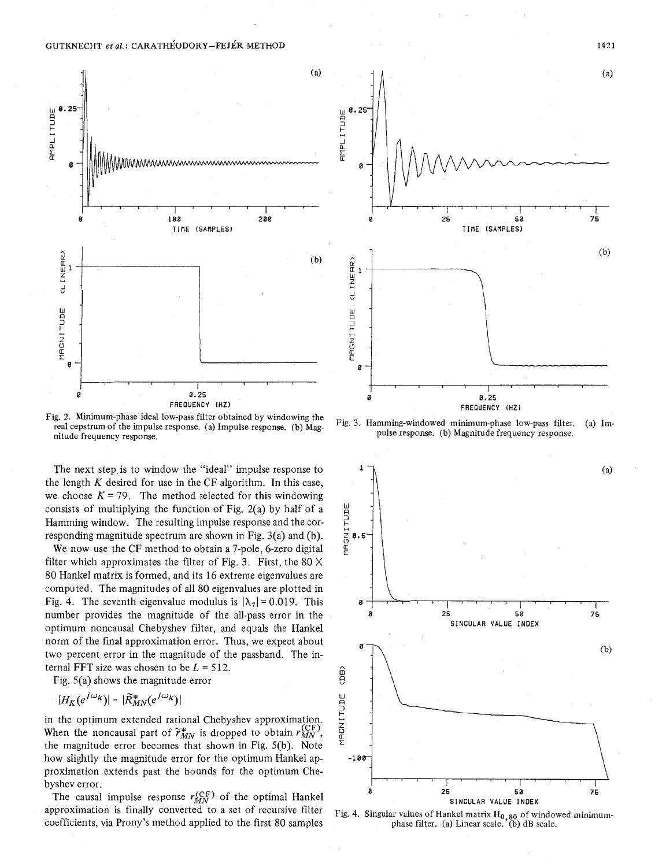

Fig. 2. Minimum-phase ideal low-pass filter obtained by windowing the real cepstrum of the impulse response. (a) Impulse response. (b) Magnitude frequency response.

The next step is to window the "ideal" impulse response to the length *K* desired for use in the CF algorithm. In this case, we choose  $K = 79$ . The method selected for this windowing consists of multiplying the function of Fig. 2(a) by half of a Hamming window. The resulting impulse response and the corresponding magnitude spectrum are shown in Fig. 3(a) and (b).

We now use the CF method to obtain a 7-pole, 6-zero digital filter which approximates the filter of Fig. 3. First, the 80 X 80 Hankel matrix is formed, and its 16 extreme eigenvalues are computed. The magnitudes of all 80 eigenvalues are plotted in Fig. 4. The seventh eigenvalue modulus is  $|\lambda_7| = 0.019$ . This number provides the magnitude of the all-pass error in the optimum noncausal Chebyshev filter, and equals the Hankel norm of the final approximation error. Thus, we expect about two percent error in the magnitude of the passband. The internal FFT size was chosen to be  $L = 512$ .

Fig. 5(a) shows the magnitude error

$$
|H_K(e^{j\omega_k})| - |\widetilde{R}_{MN}^*(e^{j\omega_k})|
$$

in the optimum extended rational Chebyshev approximation. When the noncausal part of  $\tilde{r}_{MN}^*$  is dropped to obtain  $r_{MN}^{(\text{CF})}$ , the magnitude error becomes that shown in Fig. 5(b). Note how slightly the magnitude error for the optimum Hankel approximation extends past the bounds for the optimum Chebyshev error.

The causal impulse response  $r_{MN}^{\text{(CF)}}$  of the optimal Hankel approximation is finally converted to a set of recursive filter coefficients, via Prony's method applied to the first 80 samples



Fig. 3. Hamming-windowed minimum-phase low-pass filter. (a) Impulse response. (b) Magnitude frequency response.



Fig. 4. Singular values of Hankel matrix H<sub>0,80</sub> of windowed minimumphase filter. (a) Linear scale. (b) dB scale.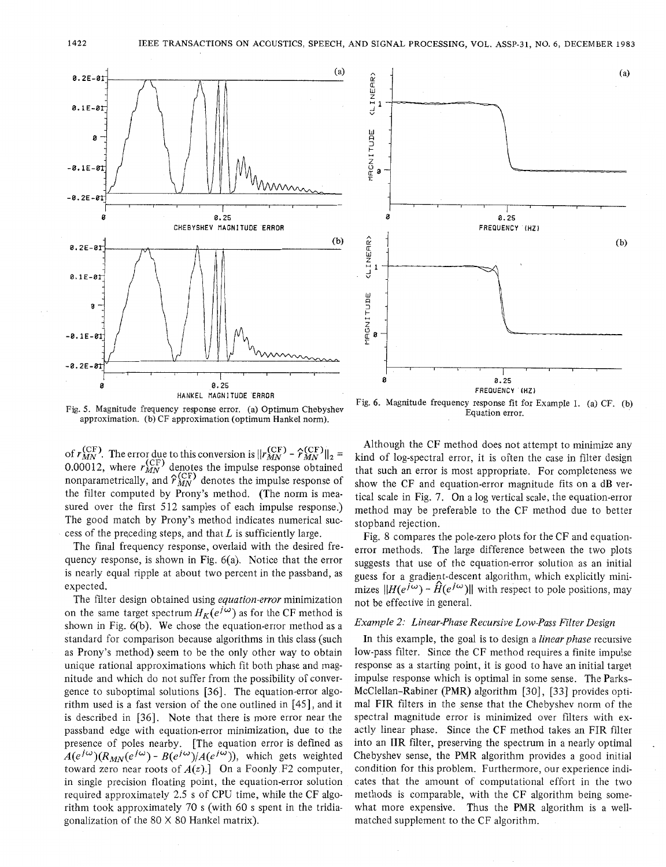



Fig. *5.* Magnitude frequency response error. (a) Optimum Chebyshev approximation. (b) CF approximation (optimum Hankel norm).

of  $r_{MN}^{(\text{CF})}$ . The error due to this conversion is  $||r_{MN}^{(\text{CF})} - \hat{r}_{MN}^{(\text{CF})}||_2 =$ 0.00012, where  $r_{MN}^{V}$  denotes the impulse response obtained nonparametrically, and  $\hat{r}_{MN}^{(\text{CF})}$  denotes the impulse response of the filter computed by Prony's method. (The norm is measured over the first 512 samples of each impulse response.) The good match by Prony's method indicates numerical success of the preceding steps, and that *L* is sufficiently large.

The final frequency response, overlaid with the desired frequency response, is shown in Fig. 6(a). Notice that the error is nearly equal ripple at about two percent in the passband, as expected.

The filter design obtained using *equation-error* minimization on the same target spectrum  $H_K(e^{j\omega})$  as for the CF method is shown in Fig. 6(b). We chose the equation-error method as a standard for comparison because algorithms in this class (such as Prony's method) seem to be the only other way to obtain unique rational approximations which fit both phase and magnitude and which do not suffer from the possibility of convergence to suboptimal solutions [36]. The equation-error algorithm used is a fast version of the one outlined in [45], and it is described in [36]. Note that there is more error near the passband edge with equation-error minimization, due to the presence of poles nearby. [The equation error is defined as  $A(e^{j\omega})(R_{MN}(e^{j\omega}) - B(e^{j\omega})/A(e^{j\omega}))$ , which gets weighted toward zero near roots of  $A(z)$ .] On a Foonly F2 computer, in single precision floating point, the equation-error solution required approximately 2.5 s of CPU time, while the CF algorithm took approximately 70 s (with 60 s spent in the tridiagonalization of the 80 X 80 Hankel matrix).

Although the CF method does not attempt to minimize any kind of log-spectral error, it is often the case in filter design that such an error is most appropriate. For completeness we show the CF and equation-error magnitude fits on a dB vertical scale in Fig. 7. On a log vertical scale, the equation-error method may be preferable to the CF method due to better stopband rejection.

Fig. 8 compares the pole-zero plots for the CF and equationerror methods. The large difference between the two plots suggests that use of the equation-error solution as an initial guess for a gradient-descent algorithm, which explicitly minimizes  $||H(e^{j\omega}) - \hat{H}(e^{j\omega})||$  with respect to pole positions, may not be effective in general.

### *Example 2: Linear-Phase Recursive Low-Pass Filter Design*

In this example, the goal is to design a *linear phase* recursive low-pass filter. Since the CF method requires a finite impulse response as a starting point, it is good to have an initial target impulse response which is optimal in some sense. The Parks-McClellan-Rabiner (PMR) algorithm [30], [33] provides optimal FIR filters in the sense that the Chebyshev norm of the spectral magnitude error is minimized over filters with exactly linear phase. Since the CF method takes an FIR filter into an IIR filter, preserving the spectrum in a nearly optimal Chebyshev sense, the PMR algorithm provides a good initial condition for this problem. Furthermore, our experience indicates that the amount of computational effort in the two methods is comparable, with the CF algorithm being somewhat more expensive. Thus the PMR algorithm is a wellmatched supplement to the CF algorithm.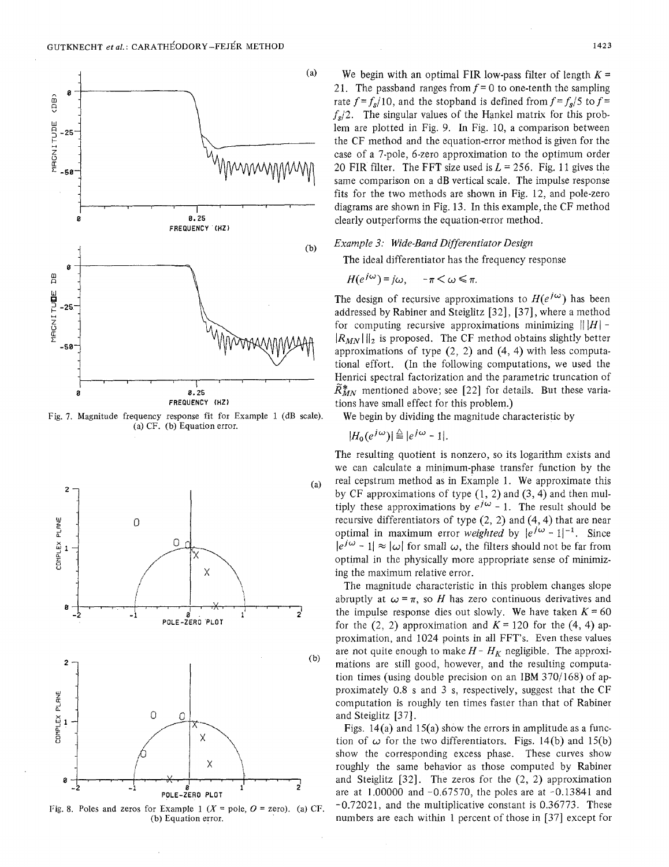

Fig. **7.** Magnitude frequency response fit for Example 1 (dB scale). (a) CF. (b) Equation error.



Fig. 8. Poles and zeros for Example 1  $(X = pole, 0 = zero)$ . (a) CF. (b) Equation error.

We begin with an optimal FIR low-pass filter of length  $K =$ 21. The passband ranges from  $f = 0$  to one-tenth the sampling rate  $f = f_s/10$ , and the stopband is defined from  $f = f_s/5$  to  $f =$  $f_s/2$ . The singular values of the Hankel matrix for this problem are plotted in Fig. 9. In Fig. 10, a comparison between the CF method and the equation-error method is given for the case of a 7-pole, 6-zero approximation to the optimum order 20 FIR filter. The FFT size used is  $L = 256$ . Fig. 11 gives the same comparison on a dB vertical scale. The impulse response fits for the two methods are shown in Fig. 12, and pole-zero diagrams are shown in Fig. 13. In this example, the CF method clearly outperforms the equation-error method.

### *Example 3: Wide-Band Differentiator Design*

The ideal differentiator has the frequency response

$$
H(e^{j\omega}) = j\omega, \quad -\pi < \omega \leq \pi.
$$

The design of recursive approximations to  $H(e^{j\omega})$  has been addressed by Rabiner and Steiglitz [32], [37], where a method for computing recursive approximations minimizing  $|||H|$  - $\|R_{MN}\|$ , is proposed. The CF method obtains slightly better approximations of type  $(2, 2)$  and  $(4, 4)$  with less computational effort. (In the following computations, we used the Henrici spectral factorization and the parametric truncation of  $\mathbb{R}^*_{MN}$  mentioned above; see [22] for details. But these variations have small effect for this problem.)

We begin by dividing the magnitude characteristic by

$$
|H_0(e^{j\omega})| \stackrel{\triangle}{=} |e^{j\omega} - 1|.
$$

The resulting quotient is nonzero, so its logarithm exists and we can calculate a minimum-phase transfer function by the real cepstrum method as in Example 1. We approximate this by CF approximations of type  $(1, 2)$  and  $(3, 4)$  and then multiply these approximations by  $e^{j\omega}$  - 1. The result should be recursive differentiators of type  $(2, 2)$  and  $(4, 4)$  that are near optimal in maximum error *weighted* by  $|e^{j\omega} - 1|^{-1}$ . Since  $|e^{j\omega} - 1| \approx |\omega|$  for small  $\omega$ , the filters should not be far from optimal in the physically more appropriate sense of minimizing the maximum relative error.

The magnitude characteristic in this problem changes slope abruptly at  $\omega = \pi$ , so *H* has zero continuous derivatives and the impulse response dies out slowly. We have taken  $K = 60$ for the  $(2, 2)$  approximation and  $K = 120$  for the  $(4, 4)$  approximation, and 1024 points in all FFT's. Even these values are not quite enough to make  $H - H_K$  negligible. The approximations are still good, however, and the resulting computation times (using double precision on an IBM 370/168) of approximately 0.8 s and 3 s, respectively, suggest that the CF computation is roughly ten times faster than that of Rabiner and Steiglitz [37].

Figs. 14(a) and 15(a) show the errors in amplitude as a function of  $\omega$  for the two differentiators. Figs. 14(b) and 15(b) show the corresponding excess phase. These curves show roughly the same behavior as those computed by Rabiner and Steiglitz  $[32]$ . The zeros for the  $(2, 2)$  approximation are at  $1.00000$  and  $-0.67570$ , the poles are at  $-0.13841$  and -0.72021, and the multiplicative constant is 0.36773. These numbers are each within 1 percent of those in [37] except for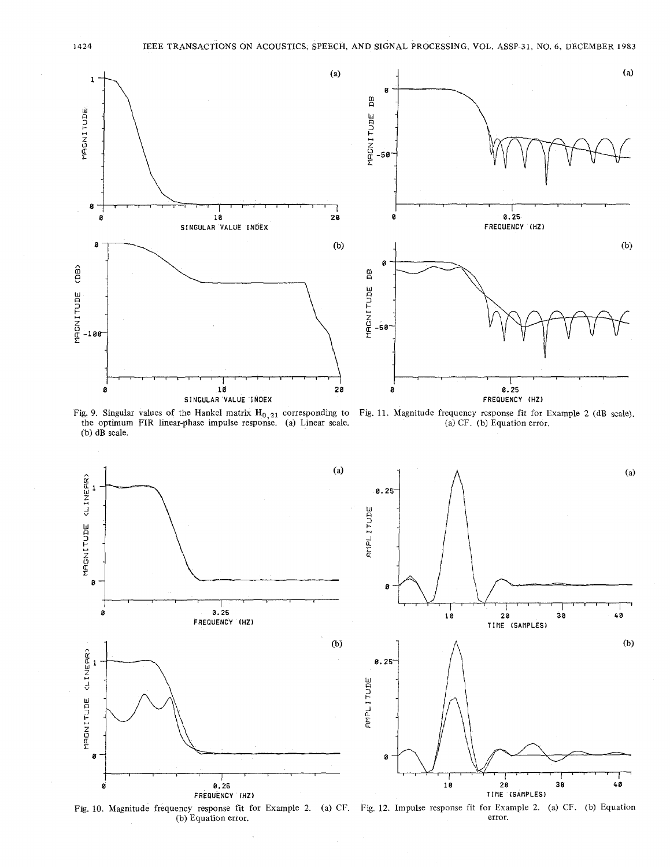



Fig. 9. Singular values of the Hankel matrix  $H_{0,21}$  corresponding to the optimum FIR linear-phase impulse response. (a) Linear scale. (b) dB scale.

**Fig.** 11. Magnitude frequency response fit for Example 2 (dB scale). (a) CF. (b) Equation error.



Fig. 10. Magnitude frequency response fit for Example 2. (a) CF. Fig. 12. Impulse response fit for Example 2. (a) CF. (b) Equation error.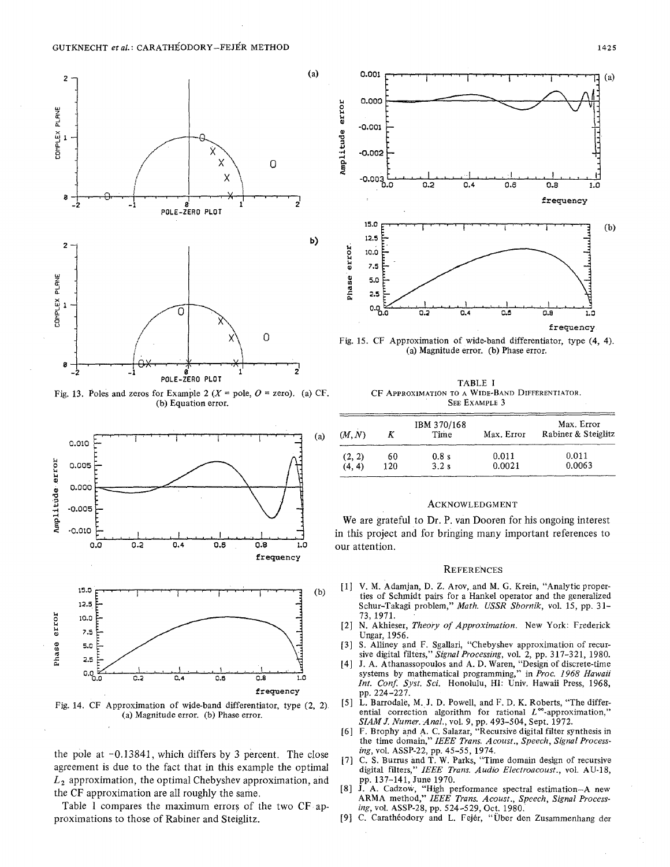

(b) Equation error.



the pole at -0.13841, which differs by 3 percent. The close *ing*, vol. ASSP-22, pp. 45-55, 1974.<br>agreement is due to the fact that in this example the optimal digital filters," IEEE Trans. Audio Electroacoust., vol. AU-18 agreement is due to the fact that in this example the optimal digital filters," *IEEE Tr*<br> $L_2$  approximation, the optimal Chebyshev approximation, and pp. 137-141, June 1970.  $L<sub>2</sub>$  approximation, the optimal Chebyshev approximation, and the CF approximation are all roughly the same. [8] **J.** A. Cadzow, "High performance spectral estimation-A new the CF approximation are all roughly the same.

proximations to those of Rabiner and Steiglitz. [9] C. Caratheodory and L. Fejer, "Über den Zusammenhang der Table I compares the maximum errors of the two CF ap-



0 *i l l l l l l l l l l l l l l l l l l l l l l l l l l l l l l l l l l l l 1* \ (a) Magnitude error. **(b)** Phase error.

Fig. 13. Poles and zeros for Example 2 (*X* = pole, *O* = zero). (a) CF. CF APPROXIMATION TO A WIDE-BAND DIFFERENTIATOR.<br>(b) Equation error. (b) Contation error. (b) Contation error. (b) Contation error. (b) Contation erro

| (a) | (M, N) |     | IBM 370/168<br>Time | Max. Error | Max. Error<br>Rabiner & Steiglitz |
|-----|--------|-----|---------------------|------------|-----------------------------------|
|     | (2, 2) | 60  | 0.8s                | 0.011      | 0.011                             |
|     | (4, 4) | 120 | 3.2s                | 0.0021     | 0.0063                            |

#### ACKNOWLEDGMENT

**a** We are grateful to Dr. P. van Dooren for his ongoing interest **<sup>85</sup>**-0.010 *2* I.,,,I ,,,, I **\*.I.** I ,,,, in this project and for bringing many important references to

#### **REFERENCES**

- (b) **[l]** V. M. Adamjan, D. Z. Arov, and M. *G.* Krein, "Analytic properties of Schmidt pairs for a Hankel operator and the generalized Schur-Takagi problem," *Math. USSR Sbornik,* vol. 15, pp. 31- 73,1971.
	- [2] N. Akhieser, *Theory of Approximation.* New York: Frederick Ungar, 1956.
	- **[3] S.** Alliney and F. Sgallari, "Chebyshev approximation of recursive digital filters," *Signal Processing,* vol. 2, pp. 317-321, 1980.
	- 141 **J.** A. Athanassopoulos and A. D. Waren, "Design of discrete-time systems **by** mathematical programming," in *Proc. 1968 Hawaii Int. Conf. Syst. Sei.* Honolulu, HI: Univ. Hawaii Press, 1968,
- Fig. 14. CF Approximation of wide-band differentiator, type (2, 2) [5] L. Barrodale, M. J. D. Powell, and F. D. K. Roberts, "The differ-<br>
(a) Magnitude error (b) Phase error (a) Magnitude error. (b) Phase error. ential correction algorithm for rational L<sup>os-</sup>approx SIAM *J. Numer. Anal.*, vol. 9, pp. 493-504, Sept. 1972.
	- [6] F. Brophy and **A. C.** Salazar, "Recursive digital filter synthesis in the time domain," *IEEE Trans. Acoust., Speech, Signal Processing,* vol. ASSP-22, pp. 45-55, 1974.
	-
	- ARMA method," *IEEE Trans. Acoust., Speech, Signal Process-*
	-